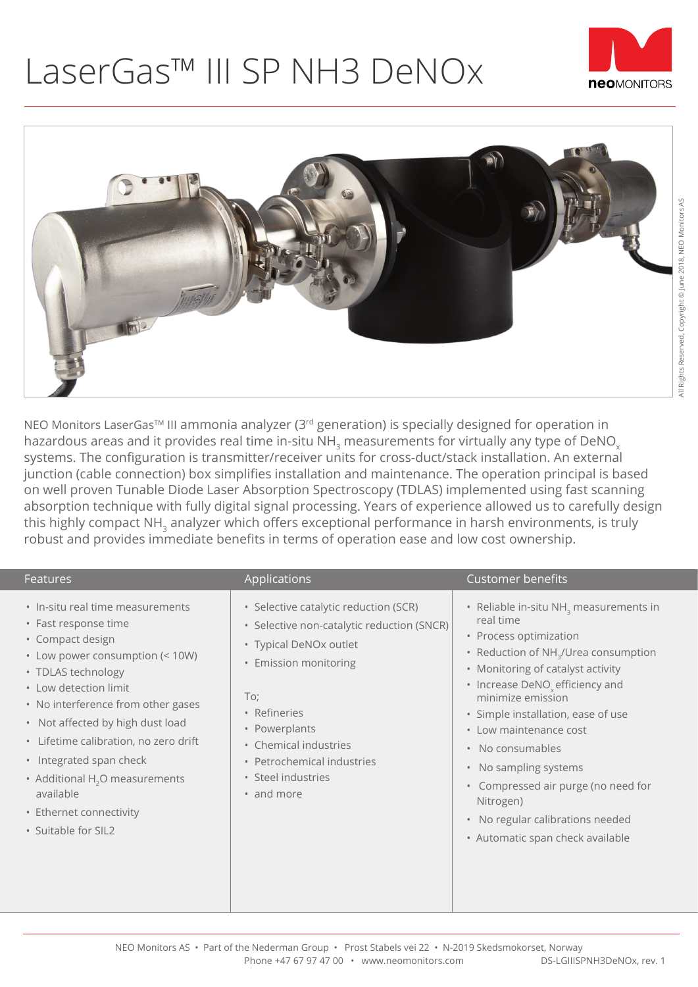## LaserGas™ III SP NH3 DeNOx





NEO Monitors LaserGas<sup>™</sup> III ammonia analyzer (3<sup>rd</sup> generation) is specially designed for operation in hazardous areas and it provides real time in-situ NH<sub>2</sub> measurements for virtually any type of DeNO<sub>x</sub> systems. The configuration is transmitter/receiver units for cross-duct/stack installation. An external junction (cable connection) box simplifies installation and maintenance. The operation principal is based on well proven Tunable Diode Laser Absorption Spectroscopy (TDLAS) implemented using fast scanning absorption technique with fully digital signal processing. Years of experience allowed us to carefully design this highly compact NH<sub>3</sub> analyzer which offers exceptional performance in harsh environments, is truly robust and provides immediate benefits in terms of operation ease and low cost ownership.

| Features                                                                                                                                                                                                                                                                                                                                                                                                       | Applications                                                                                                                                                                                                                                                              | <b>Customer benefits</b>                                                                                                                                                                                                                                                                                                                                                                                                                                                                                                                               |
|----------------------------------------------------------------------------------------------------------------------------------------------------------------------------------------------------------------------------------------------------------------------------------------------------------------------------------------------------------------------------------------------------------------|---------------------------------------------------------------------------------------------------------------------------------------------------------------------------------------------------------------------------------------------------------------------------|--------------------------------------------------------------------------------------------------------------------------------------------------------------------------------------------------------------------------------------------------------------------------------------------------------------------------------------------------------------------------------------------------------------------------------------------------------------------------------------------------------------------------------------------------------|
| . In-situ real time measurements<br>• Fast response time<br>• Compact design<br>• Low power consumption (< 10W)<br>• TDLAS technology<br>• Low detection limit<br>• No interference from other gases<br>• Not affected by high dust load<br>• Lifetime calibration, no zero drift<br>• Integrated span check<br>• Additional $H2O$ measurements<br>available<br>• Ethernet connectivity<br>• Suitable for SIL2 | · Selective catalytic reduction (SCR)<br>· Selective non-catalytic reduction (SNCR)<br>• Typical DeNOx outlet<br>• Emission monitoring<br>To;<br>• Refineries<br>• Powerplants<br>• Chemical industries<br>• Petrochemical industries<br>• Steel industries<br>• and more | • Reliable in-situ NH <sub>3</sub> measurements in<br>real time<br>• Process optimization<br>Reduction of NH <sub>3</sub> /Urea consumption<br>$\bullet$<br>• Monitoring of catalyst activity<br>• Increase DeNO <sub>v</sub> efficiency and<br>minimize emission<br>· Simple installation, ease of use<br>• Low maintenance cost<br>No consumables<br>$\bullet$<br>No sampling systems<br>$\bullet$<br>Compressed air purge (no need for<br>$\bullet$<br>Nitrogen)<br>No regular calibrations needed<br>$\bullet$<br>• Automatic span check available |
|                                                                                                                                                                                                                                                                                                                                                                                                                |                                                                                                                                                                                                                                                                           |                                                                                                                                                                                                                                                                                                                                                                                                                                                                                                                                                        |